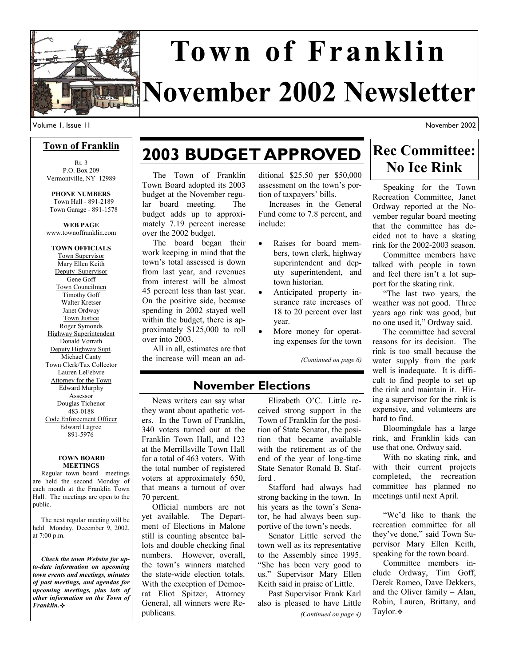

# **November 2002 Newsletter Town of Franklin**

Volume 1, Issue 11

#### November 2002

### **Town of Franklin**

Rt. 3 P.O. Box 209 Vermontville, NY 12989

**PHONE NUMBERS**  Town Hall - 891-2189 Town Garage - 891-1578

### **WEB PAGE**  www.townoffranklin.com

**TOWN OFFICIALS**  Town Supervisor Mary Ellen Keith Deputy Supervisor Gene Goff Town Councilmen Timothy Goff Walter Kretser Janet Ordway Town Justice Roger Symonds Highway Superintendent Donald Vorrath Deputy Highway Supt. Michael Canty Town Clerk/Tax Collector Lauren LeFebvre Attorney for the Town Edward Murphy Assessor Douglas Tichenor 483-0188 Code Enforcement Officer Edward Lagree 891-5976

#### **TOWN BOARD MEETINGS**

 Regular town board meetings are held the second Monday of each month at the Franklin Town Hall. The meetings are open to the public.

 The next regular meeting will be held Monday, December 9, 2002, at 7:00 p.m.

 *Check the town Website for upto-date information on upcoming town events and meetings, minutes of past meetings, and agendas for upcoming meetings, plus lots of other information on the Town of Franklin.*

# **2003 BUDGET APPROVED**

 The Town of Franklin Town Board adopted its 2003 budget at the November regular board meeting. The budget adds up to approximately 7.19 percent increase over the 2002 budget.

 The board began their work keeping in mind that the town's total assessed is down from last year, and revenues from interest will be almost 45 percent less than last year. On the positive side, because spending in 2002 stayed well within the budget, there is approximately \$125,000 to roll over into 2003.

 All in all, estimates are that the increase will mean an ad-

ditional \$25.50 per \$50,000 assessment on the town's portion of taxpayers' bills.

 Increases in the General Fund come to 7.8 percent, and include:

- Raises for board members, town clerk, highway superintendent and deputy superintendent, and town historian.
- Anticipated property insurance rate increases of 18 to 20 percent over last year.
	- More money for operating expenses for the town

*(Continued on page 6)* 

### **November Elections**

 News writers can say what they want about apathetic voters. In the Town of Franklin, 340 voters turned out at the Franklin Town Hall, and 123 at the Merrillsville Town Hall for a total of 463 voters. With the total number of registered voters at approximately 650, that means a turnout of over 70 percent.

 Official numbers are not yet available. The Department of Elections in Malone still is counting absentee ballots and double checking final numbers. However, overall, the town's winners matched the state-wide election totals. With the exception of Democrat Eliot Spitzer, Attorney General, all winners were Republicans.

 Elizabeth O'C. Little received strong support in the Town of Franklin for the position of State Senator, the position that became available with the retirement as of the end of the year of long-time State Senator Ronald B. Stafford .

 Stafford had always had strong backing in the town. In his years as the town's Senator, he had always been supportive of the town's needs.

 Senator Little served the town well as its representative to the Assembly since 1995. "She has been very good to us." Supervisor Mary Ellen Keith said in praise of Little.

 Past Supervisor Frank Karl also is pleased to have Little *(Continued on page 4)* 

### **Rec Committee: No Ice Rink**

 Speaking for the Town Recreation Committee, Janet Ordway reported at the November regular board meeting that the committee has decided not to have a skating rink for the 2002-2003 season.

 Committee members have talked with people in town and feel there isn't a lot support for the skating rink.

 "The last two years, the weather was not good. Three years ago rink was good, but no one used it," Ordway said.

 The committee had several reasons for its decision. The rink is too small because the water supply from the park well is inadequate. It is difficult to find people to set up the rink and maintain it. Hiring a supervisor for the rink is expensive, and volunteers are hard to find.

 Bloomingdale has a large rink, and Franklin kids can use that one, Ordway said.

 With no skating rink, and with their current projects completed, the recreation committee has planned no meetings until next April.

 "We'd like to thank the recreation committee for all they've done," said Town Supervisor Mary Ellen Keith, speaking for the town board.

 Committee members include Ordway, Tim Goff, Derek Romeo, Dave Dekkers, and the Oliver family – Alan, Robin, Lauren, Brittany, and Taylor.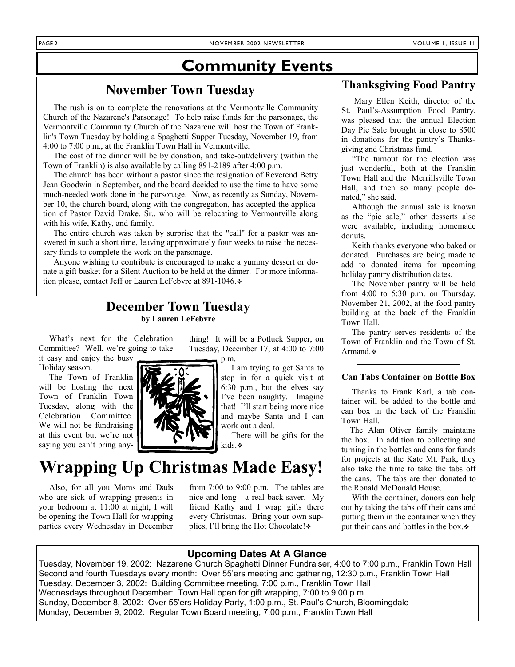### **Community Events**

### **November Town Tuesday**

 The rush is on to complete the renovations at the Vermontville Community Church of the Nazarene's Parsonage! To help raise funds for the parsonage, the Vermontville Community Church of the Nazarene will host the Town of Franklin's Town Tuesday by holding a Spaghetti Supper Tuesday, November 19, from 4:00 to 7:00 p.m., at the Franklin Town Hall in Vermontville.

 The cost of the dinner will be by donation, and take-out/delivery (within the Town of Franklin) is also available by calling 891-2189 after 4:00 p.m.

 The church has been without a pastor since the resignation of Reverend Betty Jean Goodwin in September, and the board decided to use the time to have some much-needed work done in the parsonage. Now, as recently as Sunday, November 10, the church board, along with the congregation, has accepted the application of Pastor David Drake, Sr., who will be relocating to Vermontville along with his wife, Kathy, and family.

 The entire church was taken by surprise that the "call" for a pastor was answered in such a short time, leaving approximately four weeks to raise the necessary funds to complete the work on the parsonage.

 Anyone wishing to contribute is encouraged to make a yummy dessert or donate a gift basket for a Silent Auction to be held at the dinner. For more information please, contact Jeff or Lauren LeFebvre at 891-1046. $\cdot$ 

### **December Town Tuesday by Lauren LeFebvre**

 What's next for the Celebration Committee? Well, we're going to take

it easy and enjoy the busy Holiday season.

 The Town of Franklin will be hosting the next Town of Franklin Town Tuesday, along with the Celebration Committee. We will not be fundraising at this event but we're not saying you can't bring any-



thing! It will be a Potluck Supper, on Tuesday, December 17, at 4:00 to 7:00

> I am trying to get Santa to stop in for a quick visit at 6:30 p.m., but the elves say I've been naughty. Imagine that! I'll start being more nice and maybe Santa and I can work out a deal.

 There will be gifts for the kids.

# **Wrapping Up Christmas Made Easy!**

 Also, for all you Moms and Dads who are sick of wrapping presents in your bedroom at 11:00 at night, I will be opening the Town Hall for wrapping parties every Wednesday in December

from 7:00 to 9:00 p.m. The tables are nice and long - a real back-saver. My friend Kathy and I wrap gifts there every Christmas. Bring your own supplies, I'll bring the Hot Chocolate! $\cdot$ 

### **Thanksgiving Food Pantry**

 Mary Ellen Keith, director of the St. Paul's-Assumption Food Pantry, was pleased that the annual Election Day Pie Sale brought in close to \$500 in donations for the pantry's Thanksgiving and Christmas fund.

 "The turnout for the election was just wonderful, both at the Franklin Town Hall and the Merrillsville Town Hall, and then so many people donated," she said.

 Although the annual sale is known as the "pie sale," other desserts also were available, including homemade donuts.

 Keith thanks everyone who baked or donated. Purchases are being made to add to donated items for upcoming holiday pantry distribution dates.

 The November pantry will be held from 4:00 to 5:30 p.m. on Thursday, November 21, 2002, at the food pantry building at the back of the Franklin Town Hall.

 The pantry serves residents of the Town of Franklin and the Town of St. Armand. ❖

### **Can Tabs Container on Bottle Box**

 Thanks to Frank Karl, a tab container will be added to the bottle and can box in the back of the Franklin Town Hall.

 The Alan Oliver family maintains the box. In addition to collecting and turning in the bottles and cans for funds for projects at the Kate Mt. Park, they also take the time to take the tabs off the cans. The tabs are then donated to the Ronald McDonald House.

 With the container, donors can help out by taking the tabs off their cans and putting them in the container when they put their cans and bottles in the box.

### **Upcoming Dates At A Glance**

Tuesday, November 19, 2002: Nazarene Church Spaghetti Dinner Fundraiser, 4:00 to 7:00 p.m., Franklin Town Hall Second and fourth Tuesdays every month: Over 55'ers meeting and gathering, 12:30 p.m., Franklin Town Hall Tuesday, December 3, 2002: Building Committee meeting, 7:00 p.m., Franklin Town Hall Wednesdays throughout December: Town Hall open for gift wrapping, 7:00 to 9:00 p.m. Sunday, December 8, 2002: Over 55'ers Holiday Party, 1:00 p.m., St. Paul's Church, Bloomingdale Monday, December 9, 2002: Regular Town Board meeting, 7:00 p.m., Franklin Town Hall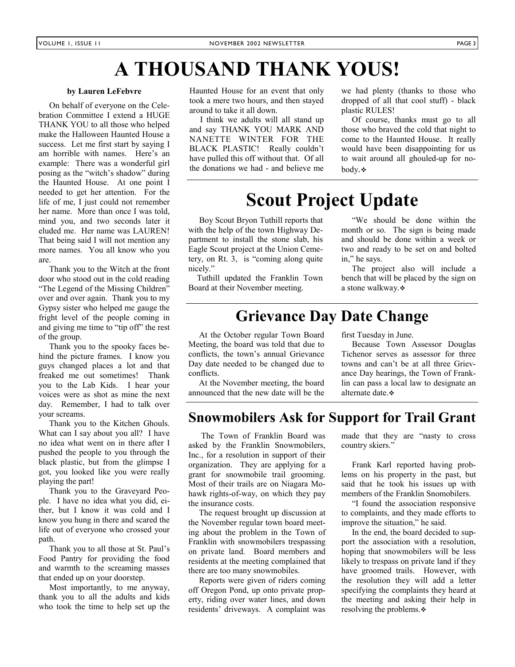# **A THOUSAND THANK YOUS!**

#### **by Lauren LeFebvre**

 On behalf of everyone on the Celebration Committee I extend a HUGE THANK YOU to all those who helped make the Halloween Haunted House a success. Let me first start by saying I am horrible with names. Here's an example: There was a wonderful girl posing as the "witch's shadow" during the Haunted House. At one point I needed to get her attention. For the life of me, I just could not remember her name. More than once I was told, mind you, and two seconds later it eluded me. Her name was LAUREN! That being said I will not mention any more names. You all know who you are.

 Thank you to the Witch at the front door who stood out in the cold reading "The Legend of the Missing Children" over and over again. Thank you to my Gypsy sister who helped me gauge the fright level of the people coming in and giving me time to "tip off" the rest of the group.

 Thank you to the spooky faces behind the picture frames. I know you guys changed places a lot and that freaked me out sometimes! Thank you to the Lab Kids. I hear your voices were as shot as mine the next day. Remember, I had to talk over your screams.

 Thank you to the Kitchen Ghouls. What can I say about you all? I have no idea what went on in there after I pushed the people to you through the black plastic, but from the glimpse I got, you looked like you were really playing the part!

 Thank you to the Graveyard People. I have no idea what you did, either, but I know it was cold and I know you hung in there and scared the life out of everyone who crossed your path.

 Thank you to all those at St. Paul's Food Pantry for providing the food and warmth to the screaming masses that ended up on your doorstep.

 Most importantly, to me anyway, thank you to all the adults and kids who took the time to help set up the Haunted House for an event that only took a mere two hours, and then stayed around to take it all down.

 I think we adults will all stand up and say THANK YOU MARK AND NANETTE WINTER FOR THE BLACK PLASTIC! Really couldn't have pulled this off without that. Of all the donations we had - and believe me we had plenty (thanks to those who dropped of all that cool stuff) - black plastic RULES!

 Of course, thanks must go to all those who braved the cold that night to come to the Haunted House. It really would have been disappointing for us to wait around all ghouled-up for nobody.

# **Scout Project Update**

 Boy Scout Bryon Tuthill reports that with the help of the town Highway Department to install the stone slab, his Eagle Scout project at the Union Cemetery, on Rt. 3, is "coming along quite nicely."

 Tuthill updated the Franklin Town Board at their November meeting.

 "We should be done within the month or so. The sign is being made and should be done within a week or two and ready to be set on and bolted in," he says.

 The project also will include a bench that will be placed by the sign on a stone walkway.

### **Grievance Day Date Change**

 At the October regular Town Board Meeting, the board was told that due to conflicts, the town's annual Grievance Day date needed to be changed due to conflicts.

 At the November meeting, the board announced that the new date will be the first Tuesday in June.

 Because Town Assessor Douglas Tichenor serves as assessor for three towns and can't be at all three Grievance Day hearings, the Town of Franklin can pass a local law to designate an alternate date.

### **Snowmobilers Ask for Support for Trail Grant**

 The Town of Franklin Board was asked by the Franklin Snowmobilers, Inc., for a resolution in support of their organization. They are applying for a grant for snowmobile trail grooming. Most of their trails are on Niagara Mohawk rights-of-way, on which they pay the insurance costs.

 The request brought up discussion at the November regular town board meeting about the problem in the Town of Franklin with snowmobilers trespassing on private land. Board members and residents at the meeting complained that there are too many snowmobiles.

 Reports were given of riders coming off Oregon Pond, up onto private property, riding over water lines, and down residents' driveways. A complaint was made that they are "nasty to cross country skiers."

 Frank Karl reported having problems on his property in the past, but said that he took his issues up with members of the Franklin Snomobilers.

 "I found the association responsive to complaints, and they made efforts to improve the situation," he said.

 In the end, the board decided to support the association with a resolution, hoping that snowmobilers will be less likely to trespass on private land if they have groomed trails. However, with the resolution they will add a letter specifying the complaints they heard at the meeting and asking their help in resolving the problems.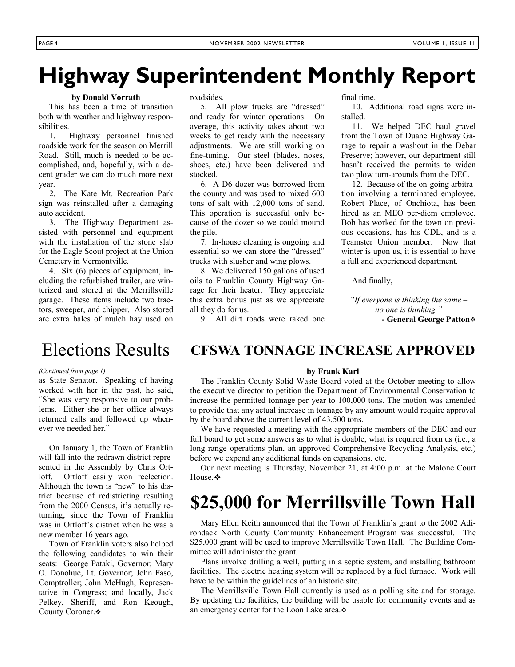# **Highway Superintendent Monthly Report**

### **by Donald Vorrath**

 This has been a time of transition both with weather and highway responsibilities.

 1. Highway personnel finished roadside work for the season on Merrill Road. Still, much is needed to be accomplished, and, hopefully, with a decent grader we can do much more next year.

 2. The Kate Mt. Recreation Park sign was reinstalled after a damaging auto accident.

 3. The Highway Department assisted with personnel and equipment with the installation of the stone slab for the Eagle Scout project at the Union Cemetery in Vermontville.

 4. Six (6) pieces of equipment, including the refurbished trailer, are winterized and stored at the Merrillsville garage. These items include two tractors, sweeper, and chipper. Also stored are extra bales of mulch hay used on roadsides.

 5. All plow trucks are "dressed" and ready for winter operations. On average, this activity takes about two weeks to get ready with the necessary adjustments. We are still working on fine-tuning. Our steel (blades, noses, shoes, etc.) have been delivered and stocked.

 6. A D6 dozer was borrowed from the county and was used to mixed 600 tons of salt with 12,000 tons of sand. This operation is successful only because of the dozer so we could mound the pile.

 7. In-house cleaning is ongoing and essential so we can store the "dressed" trucks with slusher and wing plows.

 8. We delivered 150 gallons of used oils to Franklin County Highway Garage for their heater. They appreciate this extra bonus just as we appreciate all they do for us.

9. All dirt roads were raked one

final time.

 10. Additional road signs were installed.

 11. We helped DEC haul gravel from the Town of Duane Highway Garage to repair a washout in the Debar Preserve; however, our department still hasn't received the permits to widen two plow turn-arounds from the DEC.

 12. Because of the on-going arbitration involving a terminated employee, Robert Place, of Onchiota, has been hired as an MEO per-diem employee. Bob has worked for the town on previous occasions, has his CDL, and is a Teamster Union member. Now that winter is upon us, it is essential to have a full and experienced department.

And finally,

*"If everyone is thinking the same – no one is thinking."*  **- General George Patton**

### Elections Results

#### *(Continued from page 1)*

as State Senator. Speaking of having worked with her in the past, he said, "She was very responsive to our problems. Either she or her office always returned calls and followed up whenever we needed her."

 On January 1, the Town of Franklin will fall into the redrawn district represented in the Assembly by Chris Ortloff. Ortloff easily won reelection. Although the town is "new" to his district because of redistricting resulting from the 2000 Census, it's actually returning, since the Town of Franklin was in Ortloff's district when he was a new member 16 years ago.

 Town of Franklin voters also helped the following candidates to win their seats: George Pataki, Governor; Mary O. Donohue, Lt. Governor; John Faso, Comptroller; John McHugh, Representative in Congress; and locally, Jack Pelkey, Sheriff, and Ron Keough, County Coroner.

#### **by Frank Karl**

**CFSWA TONNAGE INCREASE APPROVED** 

 The Franklin County Solid Waste Board voted at the October meeting to allow the executive director to petition the Department of Environmental Conservation to increase the permitted tonnage per year to 100,000 tons. The motion was amended to provide that any actual increase in tonnage by any amount would require approval by the board above the current level of 43,500 tons.

 We have requested a meeting with the appropriate members of the DEC and our full board to get some answers as to what is doable, what is required from us (i.e., a long range operations plan, an approved Comprehensive Recycling Analysis, etc.) before we expend any additional funds on expansions, etc.

 Our next meeting is Thursday, November 21, at 4:00 p.m. at the Malone Court House. ❖

# **\$25,000 for Merrillsville Town Hall**

 Mary Ellen Keith announced that the Town of Franklin's grant to the 2002 Adirondack North County Community Enhancement Program was successful. The \$25,000 grant will be used to improve Merrillsville Town Hall. The Building Committee will administer the grant.

 Plans involve drilling a well, putting in a septic system, and installing bathroom facilities. The electric heating system will be replaced by a fuel furnace. Work will have to be within the guidelines of an historic site.

 The Merrillsville Town Hall currently is used as a polling site and for storage. By updating the facilities, the building will be usable for community events and as an emergency center for the Loon Lake area. $\cdot\cdot$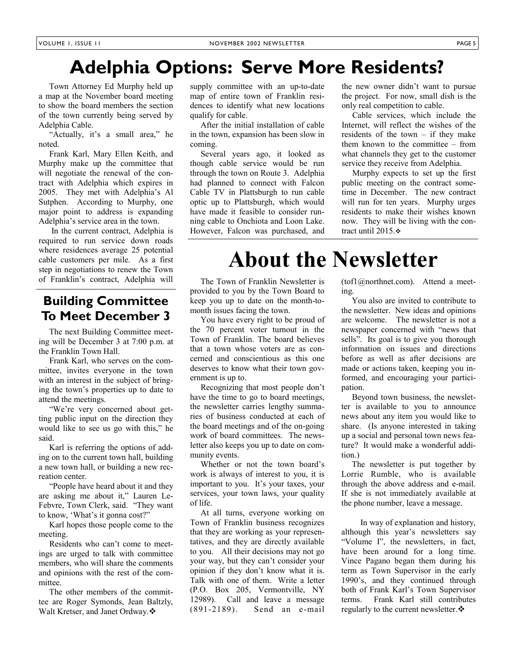# **Adelphia Options: Serve More Residents?**

 Town Attorney Ed Murphy held up a map at the November board meeting to show the board members the section of the town currently being served by Adelphia Cable.

 "Actually, it's a small area," he noted.

 Frank Karl, Mary Ellen Keith, and Murphy make up the committee that will negotiate the renewal of the contract with Adelphia which expires in 2005. They met with Adelphia's Al Sutphen. According to Murphy, one major point to address is expanding Adelphia's service area in the town.

 In the current contract, Adelphia is required to run service down roads where residences average 25 potential cable customers per mile. As a first step in negotiations to renew the Town of Franklin's contract, Adelphia will

### **Building Committee To Meet December 3**

 The next Building Committee meeting will be December 3 at 7:00 p.m. at the Franklin Town Hall.

 Frank Karl, who serves on the committee, invites everyone in the town with an interest in the subject of bringing the town's properties up to date to attend the meetings.

 "We're very concerned about getting public input on the direction they would like to see us go with this," he said.

 Karl is referring the options of adding on to the current town hall, building a new town hall, or building a new recreation center.

 "People have heard about it and they are asking me about it," Lauren Le-Febvre, Town Clerk, said. "They want to know, 'What's it gonna cost?"

 Karl hopes those people come to the meeting.

 Residents who can't come to meetings are urged to talk with committee members, who will share the comments and opinions with the rest of the committee.<br>The other members of the commit-

tee are Roger Symonds, Jean Baltzly, Walt Kretser, and Janet Ordway. ❖

supply committee with an up-to-date map of entire town of Franklin residences to identify what new locations qualify for cable.

 After the initial installation of cable in the town, expansion has been slow in coming.

 Several years ago, it looked as though cable service would be run through the town on Route 3. Adelphia had planned to connect with Falcon Cable TV in Plattsburgh to run cable optic up to Plattsburgh, which would have made it feasible to consider running cable to Onchiota and Loon Lake. However, Falcon was purchased, and the new owner didn't want to pursue the project. For now, small dish is the only real competition to cable.

 Cable services, which include the Internet, will reflect the wishes of the residents of the town  $-$  if they make them known to the committee – from what channels they get to the customer service they receive from Adelphia.

 Murphy expects to set up the first public meeting on the contract sometime in December. The new contract will run for ten years. Murphy urges residents to make their wishes known now. They will be living with the contract until 2015.  $\div$ 

# **About the Newsletter**

 The Town of Franklin Newsletter is provided to you by the Town Board to keep you up to date on the month-tomonth issues facing the town.

 You have every right to be proud of the 70 percent voter turnout in the Town of Franklin. The board believes that a town whose voters are as concerned and conscientious as this one deserves to know what their town government is up to.

 Recognizing that most people don't have the time to go to board meetings, the newsletter carries lengthy summaries of business conducted at each of the board meetings and of the on-going work of board committees. The newsletter also keeps you up to date on community events.

 Whether or not the town board's work is always of interest to you, it is important to you. It's your taxes, your services, your town laws, your quality of life.

 At all turns, everyone working on Town of Franklin business recognizes that they are working as your representatives, and they are directly available to you. All their decisions may not go your way, but they can't consider your opinion if they don't know what it is. Talk with one of them. Write a letter (P.O. Box 205, Vermontville, NY 12989). Call and leave a message (891-2189). Send an e-mail

(tof1@northnet.com). Attend a meeting.

 You also are invited to contribute to the newsletter. New ideas and opinions are welcome. The newsletter is not a newspaper concerned with "news that sells". Its goal is to give you thorough information on issues and directions before as well as after decisions are made or actions taken, keeping you informed, and encouraging your participation.

 Beyond town business, the newsletter is available to you to announce news about any item you would like to share. (Is anyone interested in taking up a social and personal town news feature? It would make a wonderful addition.)

 The newsletter is put together by Lorrie Rumble, who is available through the above address and e-mail. If she is not immediately available at the phone number, leave a message.

 In way of explanation and history, although this year's newsletters say "Volume I", the newsletters, in fact, have been around for a long time. Vince Pagano began them during his term as Town Supervisor in the early 1990's, and they continued through both of Frank Karl's Town Supervisor terms. Frank Karl still contributes regularly to the current newsletter.  $\triangle$